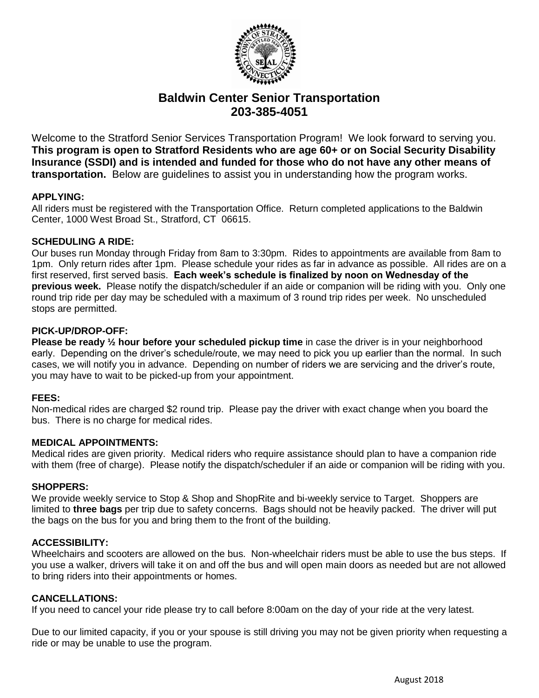

# **Baldwin Center Senior Transportation 203-385-4051**

Welcome to the Stratford Senior Services Transportation Program! We look forward to serving you. **This program is open to Stratford Residents who are age 60+ or on Social Security Disability Insurance (SSDI) and is intended and funded for those who do not have any other means of transportation.** Below are guidelines to assist you in understanding how the program works.

# **APPLYING:**

All riders must be registered with the Transportation Office. Return completed applications to the Baldwin Center, 1000 West Broad St., Stratford, CT 06615.

# **SCHEDULING A RIDE:**

Our buses run Monday through Friday from 8am to 3:30pm. Rides to appointments are available from 8am to 1pm. Only return rides after 1pm. Please schedule your rides as far in advance as possible. All rides are on a first reserved, first served basis. **Each week's schedule is finalized by noon on Wednesday of the previous week.** Please notify the dispatch/scheduler if an aide or companion will be riding with you. Only one round trip ride per day may be scheduled with a maximum of 3 round trip rides per week. No unscheduled stops are permitted.

# **PICK-UP/DROP-OFF:**

**Please be ready**  $\frac{1}{2}$  **hour before your scheduled pickup time** in case the driver is in your neighborhood early. Depending on the driver's schedule/route, we may need to pick you up earlier than the normal. In such cases, we will notify you in advance. Depending on number of riders we are servicing and the driver's route, you may have to wait to be picked-up from your appointment.

# **FEES:**

Non-medical rides are charged \$2 round trip. Please pay the driver with exact change when you board the bus. There is no charge for medical rides.

#### **MEDICAL APPOINTMENTS:**

Medical rides are given priority. Medical riders who require assistance should plan to have a companion ride with them (free of charge). Please notify the dispatch/scheduler if an aide or companion will be riding with you.

#### **SHOPPERS:**

We provide weekly service to Stop & Shop and ShopRite and bi-weekly service to Target. Shoppers are limited to **three bags** per trip due to safety concerns. Bags should not be heavily packed. The driver will put the bags on the bus for you and bring them to the front of the building.

#### **ACCESSIBILITY:**

Wheelchairs and scooters are allowed on the bus. Non-wheelchair riders must be able to use the bus steps. If you use a walker, drivers will take it on and off the bus and will open main doors as needed but are not allowed to bring riders into their appointments or homes.

#### **CANCELLATIONS:**

If you need to cancel your ride please try to call before 8:00am on the day of your ride at the very latest.

Due to our limited capacity, if you or your spouse is still driving you may not be given priority when requesting a ride or may be unable to use the program.